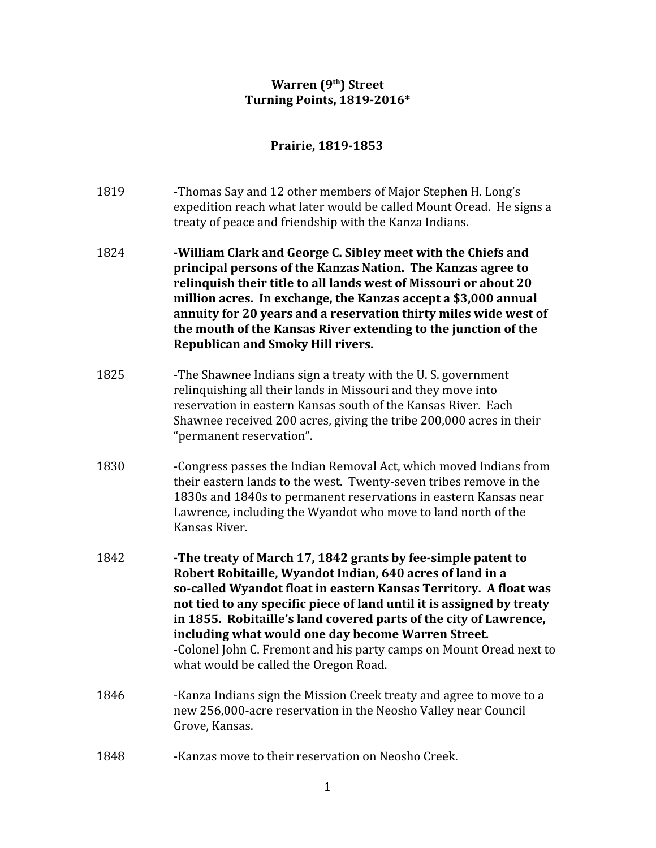## **Warren (9th) Street Turning Points, 1819-2016\***

## **Prairie, 1819-1853**

- 1819 -Thomas Say and 12 other members of Major Stephen H. Long's expedition reach what later would be called Mount Oread. He signs a treaty of peace and friendship with the Kanza Indians.
- 1824 **-William Clark and George C. Sibley meet with the Chiefs and principal persons of the Kanzas Nation. The Kanzas agree to relinquish their title to all lands west of Missouri or about 20 million acres. In exchange, the Kanzas accept a \$3,000 annual annuity for 20 years and a reservation thirty miles wide west of the mouth of the Kansas River extending to the junction of the Republican and Smoky Hill rivers.**
- 1825 -The Shawnee Indians sign a treaty with the U.S. government relinquishing all their lands in Missouri and they move into reservation in eastern Kansas south of the Kansas River. Each Shawnee received 200 acres, giving the tribe 200,000 acres in their "permanent reservation".
- 1830 -Congress passes the Indian Removal Act, which moved Indians from their eastern lands to the west. Twenty-seven tribes remove in the 1830s and 1840s to permanent reservations in eastern Kansas near Lawrence, including the Wyandot who move to land north of the Kansas River.
- 1842 **-The treaty of March 17, 1842 grants by fee-simple patent to Robert Robitaille, Wyandot Indian, 640 acres of land in a so-called Wyandot float in eastern Kansas Territory. A float was not tied to any specific piece of land until it is assigned by treaty in 1855. Robitaille's land covered parts of the city of Lawrence, including what would one day become Warren Street.** -Colonel John C. Fremont and his party camps on Mount Oread next to what would be called the Oregon Road.
- 1846 -Kanza Indians sign the Mission Creek treaty and agree to move to a new 256,000-acre reservation in the Neosho Valley near Council Grove, Kansas.
- 1848 -Kanzas move to their reservation on Neosho Creek.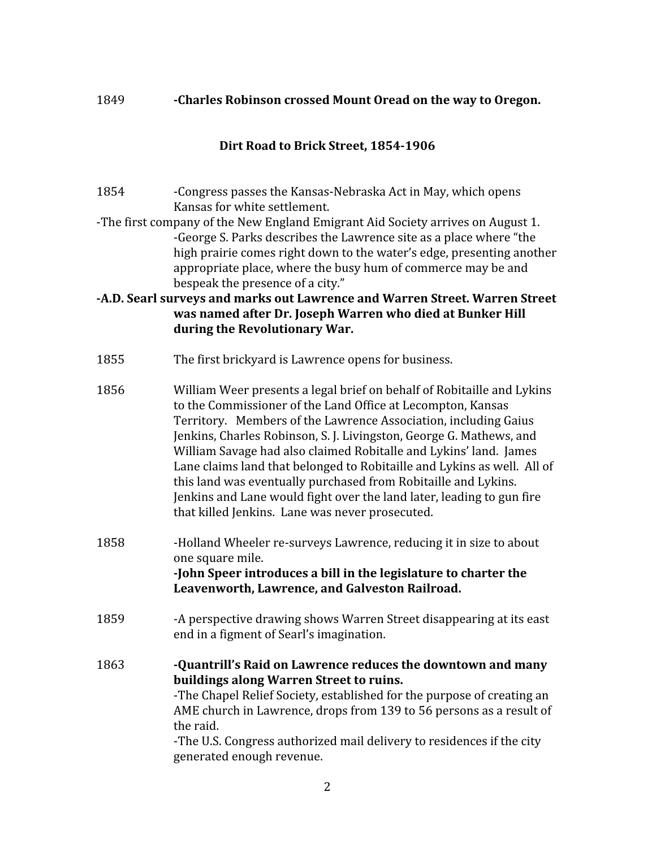#### 1849 **-Charles Robinson crossed Mount Oread on the way to Oregon.**

#### **Dirt Road to Brick Street, 1854-1906**

- 1854 -Congress passes the Kansas-Nebraska Act in May, which opens Kansas for white settlement.
- -The first company of the New England Emigrant Aid Society arrives on August 1. -George S. Parks describes the Lawrence site as a place where "the high prairie comes right down to the water's edge, presenting another appropriate place, where the busy hum of commerce may be and bespeak the presence of a city."

### **-A.D. Searl surveys and marks out Lawrence and Warren Street. Warren Street was named after Dr. Joseph Warren who died at Bunker Hill during the Revolutionary War.**

- 1855 The first brickyard is Lawrence opens for business.
- 1856 William Weer presents a legal brief on behalf of Robitaille and Lykins to the Commissioner of the Land Office at Lecompton, Kansas Territory. Members of the Lawrence Association, including Gaius Jenkins, Charles Robinson, S. J. Livingston, George G. Mathews, and William Savage had also claimed Robitalle and Lykins' land. James Lane claims land that belonged to Robitaille and Lykins as well. All of this land was eventually purchased from Robitaille and Lykins. Jenkins and Lane would fight over the land later, leading to gun fire that killed Jenkins. Lane was never prosecuted.
- 1858 -Holland Wheeler re-surveys Lawrence, reducing it in size to about one square mile. **-John Speer introduces a bill in the legislature to charter the Leavenworth, Lawrence, and Galveston Railroad.**
- 1859 -A perspective drawing shows Warren Street disappearing at its east end in a figment of Searl's imagination.
- 1863 **-Quantrill's Raid on Lawrence reduces the downtown and many buildings along Warren Street to ruins.** -The Chapel Relief Society, established for the purpose of creating an AME church in Lawrence, drops from 139 to 56 persons as a result of the raid. -The U.S. Congress authorized mail delivery to residences if the city generated enough revenue.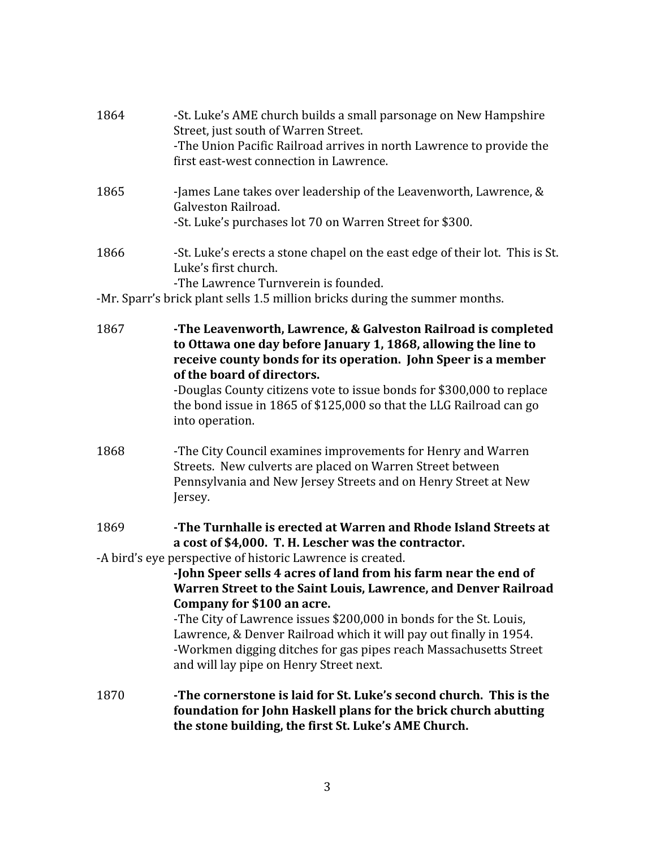| 1870 | -The cornerstone is laid for St. Luke's second church. This is the<br>foundation for John Haskell plans for the brick church abutting<br>the stone building, the first St. Luke's AME Church.                                                                                                                                                             |
|------|-----------------------------------------------------------------------------------------------------------------------------------------------------------------------------------------------------------------------------------------------------------------------------------------------------------------------------------------------------------|
|      | Warren Street to the Saint Louis, Lawrence, and Denver Railroad<br>Company for \$100 an acre.<br>-The City of Lawrence issues \$200,000 in bonds for the St. Louis,<br>Lawrence, & Denver Railroad which it will pay out finally in 1954.<br>-Workmen digging ditches for gas pipes reach Massachusetts Street<br>and will lay pipe on Henry Street next. |
|      | -John Speer sells 4 acres of land from his farm near the end of                                                                                                                                                                                                                                                                                           |
|      | a cost of \$4,000. T. H. Lescher was the contractor.<br>-A bird's eye perspective of historic Lawrence is created.                                                                                                                                                                                                                                        |
| 1869 | -The Turnhalle is erected at Warren and Rhode Island Streets at                                                                                                                                                                                                                                                                                           |
| 1868 | -The City Council examines improvements for Henry and Warren<br>Streets. New culverts are placed on Warren Street between<br>Pennsylvania and New Jersey Streets and on Henry Street at New<br>Jersey.                                                                                                                                                    |
|      | receive county bonds for its operation. John Speer is a member<br>of the board of directors.<br>-Douglas County citizens vote to issue bonds for \$300,000 to replace<br>the bond issue in 1865 of \$125,000 so that the LLG Railroad can go<br>into operation.                                                                                           |
| 1867 | -The Leavenworth, Lawrence, & Galveston Railroad is completed<br>to Ottawa one day before January 1, 1868, allowing the line to                                                                                                                                                                                                                           |
|      | -The Lawrence Turnverein is founded.<br>-Mr. Sparr's brick plant sells 1.5 million bricks during the summer months.                                                                                                                                                                                                                                       |
| 1866 | -St. Luke's erects a stone chapel on the east edge of their lot. This is St.<br>Luke's first church.                                                                                                                                                                                                                                                      |
| 1865 | -James Lane takes over leadership of the Leavenworth, Lawrence, &<br>Galveston Railroad.<br>-St. Luke's purchases lot 70 on Warren Street for \$300.                                                                                                                                                                                                      |
| 1864 | -St. Luke's AME church builds a small parsonage on New Hampshire<br>Street, just south of Warren Street.<br>-The Union Pacific Railroad arrives in north Lawrence to provide the<br>first east-west connection in Lawrence.                                                                                                                               |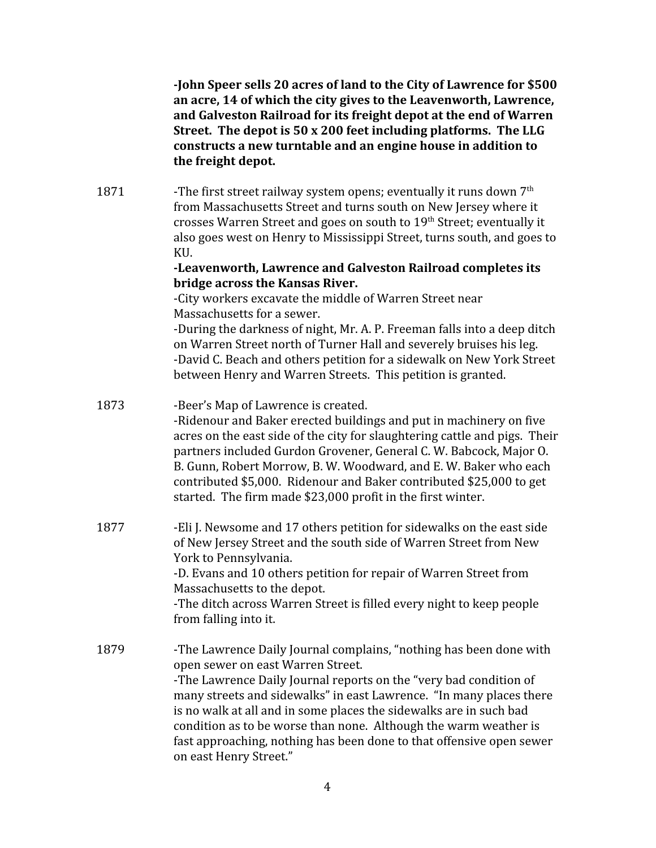**-John Speer sells 20 acres of land to the City of Lawrence for \$500 an acre, 14 of which the city gives to the Leavenworth, Lawrence, and Galveston Railroad for its freight depot at the end of Warren Street. The depot is 50 x 200 feet including platforms. The LLG constructs a new turntable and an engine house in addition to the freight depot.**

1871 -The first street railway system opens; eventually it runs down  $7<sup>th</sup>$ from Massachusetts Street and turns south on New Jersey where it crosses Warren Street and goes on south to 19<sup>th</sup> Street; eventually it also goes west on Henry to Mississippi Street, turns south, and goes to KU.

#### **-Leavenworth, Lawrence and Galveston Railroad completes its bridge across the Kansas River.**

-City workers excavate the middle of Warren Street near Massachusetts for a sewer.

-During the darkness of night, Mr. A. P. Freeman falls into a deep ditch on Warren Street north of Turner Hall and severely bruises his leg. -David C. Beach and others petition for a sidewalk on New York Street between Henry and Warren Streets. This petition is granted.

- 1873 -Beer's Map of Lawrence is created. -Ridenour and Baker erected buildings and put in machinery on five acres on the east side of the city for slaughtering cattle and pigs. Their partners included Gurdon Grovener, General C. W. Babcock, Major O. B. Gunn, Robert Morrow, B. W. Woodward, and E. W. Baker who each contributed \$5,000. Ridenour and Baker contributed \$25,000 to get started. The firm made \$23,000 profit in the first winter.
- 1877 Eli J. Newsome and 17 others petition for sidewalks on the east side of New Jersey Street and the south side of Warren Street from New York to Pennsylvania. -D. Evans and 10 others petition for repair of Warren Street from Massachusetts to the depot.

-The ditch across Warren Street is filled every night to keep people from falling into it.

1879 -The Lawrence Daily Journal complains, "nothing has been done with open sewer on east Warren Street. -The Lawrence Daily Journal reports on the "very bad condition of many streets and sidewalks" in east Lawrence. "In many places there is no walk at all and in some places the sidewalks are in such bad condition as to be worse than none. Although the warm weather is fast approaching, nothing has been done to that offensive open sewer on east Henry Street."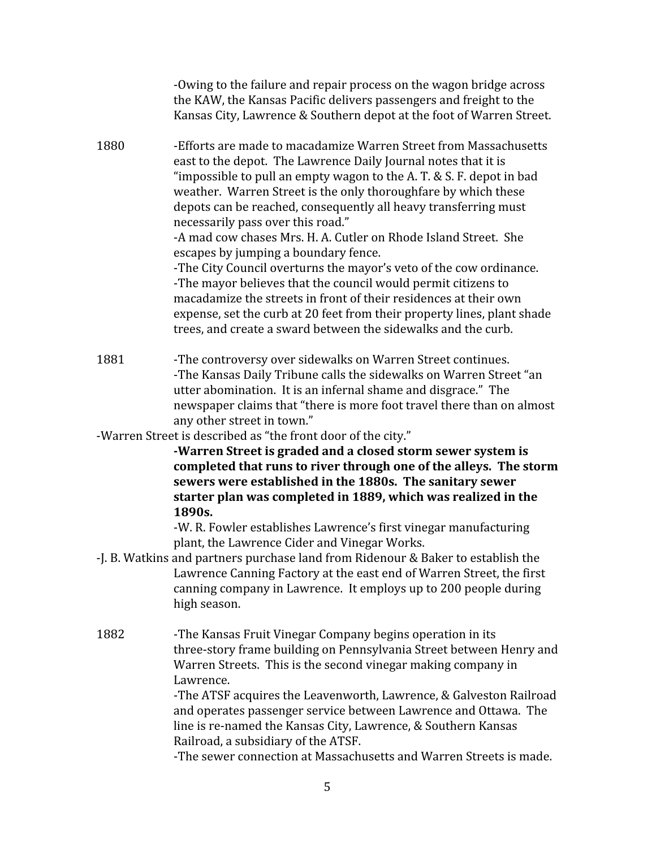|      | -Owing to the failure and repair process on the wagon bridge across<br>the KAW, the Kansas Pacific delivers passengers and freight to the<br>Kansas City, Lawrence & Southern depot at the foot of Warren Street.                                                                                                                                                                                                                                                                                                                                                                                                                                                                                                                                                                                                                                    |
|------|------------------------------------------------------------------------------------------------------------------------------------------------------------------------------------------------------------------------------------------------------------------------------------------------------------------------------------------------------------------------------------------------------------------------------------------------------------------------------------------------------------------------------------------------------------------------------------------------------------------------------------------------------------------------------------------------------------------------------------------------------------------------------------------------------------------------------------------------------|
| 1880 | -Efforts are made to macadamize Warren Street from Massachusetts<br>east to the depot. The Lawrence Daily Journal notes that it is<br>"impossible to pull an empty wagon to the A.T. & S.F. depot in bad<br>weather. Warren Street is the only thoroughfare by which these<br>depots can be reached, consequently all heavy transferring must<br>necessarily pass over this road."<br>-A mad cow chases Mrs. H. A. Cutler on Rhode Island Street. She<br>escapes by jumping a boundary fence.<br>-The City Council overturns the mayor's veto of the cow ordinance.<br>-The mayor believes that the council would permit citizens to<br>macadamize the streets in front of their residences at their own<br>expense, set the curb at 20 feet from their property lines, plant shade<br>trees, and create a sward between the sidewalks and the curb. |
| 1881 | -The controversy over sidewalks on Warren Street continues.<br>-The Kansas Daily Tribune calls the sidewalks on Warren Street "an<br>utter abomination. It is an infernal shame and disgrace." The<br>newspaper claims that "there is more foot travel there than on almost<br>any other street in town."                                                                                                                                                                                                                                                                                                                                                                                                                                                                                                                                            |
|      | -Warren Street is described as "the front door of the city."<br>-Warren Street is graded and a closed storm sewer system is<br>completed that runs to river through one of the alleys. The storm<br>sewers were established in the 1880s. The sanitary sewer<br>starter plan was completed in 1889, which was realized in the<br>1890s.<br>-W. R. Fowler establishes Lawrence's first vinegar manufacturing                                                                                                                                                                                                                                                                                                                                                                                                                                          |
|      | plant, the Lawrence Cider and Vinegar Works.<br>-J. B. Watkins and partners purchase land from Ridenour & Baker to establish the<br>Lawrence Canning Factory at the east end of Warren Street, the first<br>canning company in Lawrence. It employs up to 200 people during<br>high season.                                                                                                                                                                                                                                                                                                                                                                                                                                                                                                                                                          |
| 1882 | -The Kansas Fruit Vinegar Company begins operation in its<br>three-story frame building on Pennsylvania Street between Henry and<br>Warren Streets. This is the second vinegar making company in<br>Lawrence.<br>-The ATSF acquires the Leavenworth, Lawrence, & Galveston Railroad<br>and operates passenger service between Lawrence and Ottawa. The<br>line is re-named the Kansas City, Lawrence, & Southern Kansas<br>Railroad, a subsidiary of the ATSF.<br>-The sewer connection at Massachusetts and Warren Streets is made.                                                                                                                                                                                                                                                                                                                 |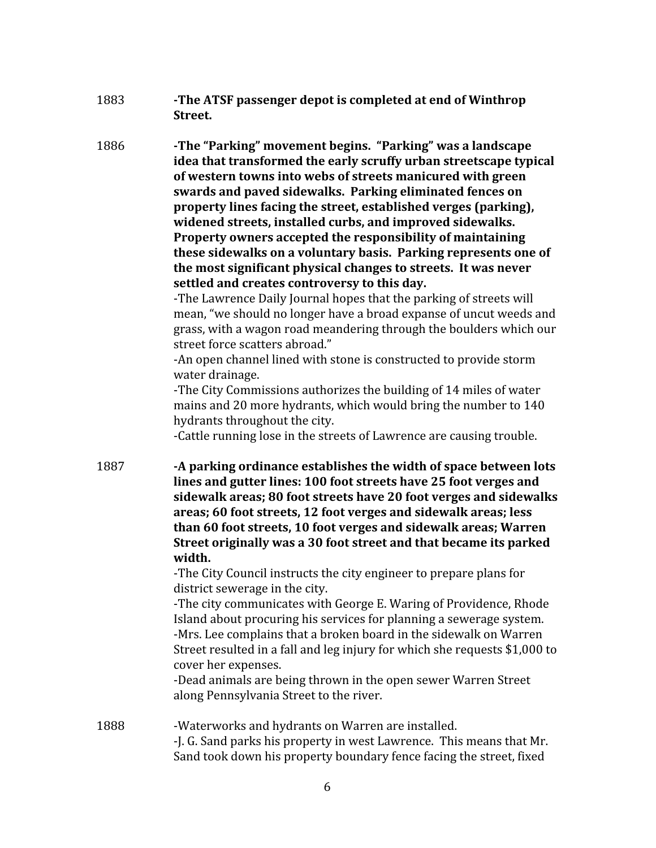1883 **-The ATSF passenger depot is completed at end of Winthrop Street.**

1886 **-The "Parking" movement begins. "Parking" was a landscape idea that transformed the early scruffy urban streetscape typical of western towns into webs of streets manicured with green swards and paved sidewalks. Parking eliminated fences on property lines facing the street, established verges (parking), widened streets, installed curbs, and improved sidewalks. Property owners accepted the responsibility of maintaining these sidewalks on a voluntary basis. Parking represents one of the most significant physical changes to streets. It was never settled and creates controversy to this day.**

> -The Lawrence Daily Journal hopes that the parking of streets will mean, "we should no longer have a broad expanse of uncut weeds and grass, with a wagon road meandering through the boulders which our street force scatters abroad."

-An open channel lined with stone is constructed to provide storm water drainage.

-The City Commissions authorizes the building of 14 miles of water mains and 20 more hydrants, which would bring the number to 140 hydrants throughout the city.

-Cattle running lose in the streets of Lawrence are causing trouble.

1887 **-A parking ordinance establishes the width of space between lots lines and gutter lines: 100 foot streets have 25 foot verges and sidewalk areas; 80 foot streets have 20 foot verges and sidewalks areas; 60 foot streets, 12 foot verges and sidewalk areas; less than 60 foot streets, 10 foot verges and sidewalk areas; Warren Street originally was a 30 foot street and that became its parked width.**

-The City Council instructs the city engineer to prepare plans for district sewerage in the city.

-The city communicates with George E. Waring of Providence, Rhode Island about procuring his services for planning a sewerage system. -Mrs. Lee complains that a broken board in the sidewalk on Warren Street resulted in a fall and leg injury for which she requests \$1,000 to cover her expenses.

-Dead animals are being thrown in the open sewer Warren Street along Pennsylvania Street to the river.

1888 -Waterworks and hydrants on Warren are installed. -J. G. Sand parks his property in west Lawrence. This means that Mr. Sand took down his property boundary fence facing the street, fixed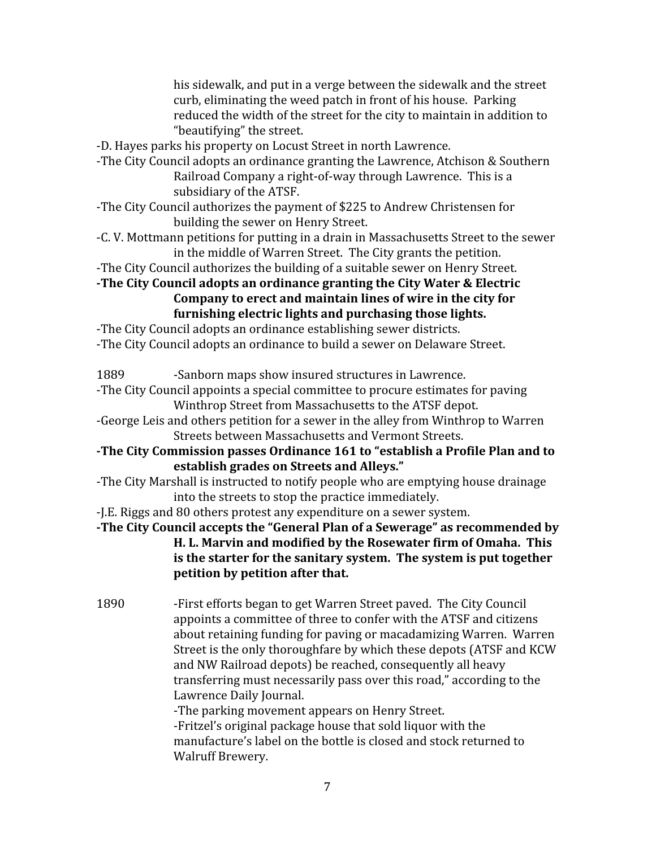his sidewalk, and put in a verge between the sidewalk and the street curb, eliminating the weed patch in front of his house. Parking reduced the width of the street for the city to maintain in addition to "beautifying" the street.

-D. Hayes parks his property on Locust Street in north Lawrence.

- -The City Council adopts an ordinance granting the Lawrence, Atchison & Southern Railroad Company a right-of-way through Lawrence. This is a subsidiary of the ATSF.
- -The City Council authorizes the payment of \$225 to Andrew Christensen for building the sewer on Henry Street.
- -C. V. Mottmann petitions for putting in a drain in Massachusetts Street to the sewer in the middle of Warren Street. The City grants the petition.

-The City Council authorizes the building of a suitable sewer on Henry Street.

## **-The City Council adopts an ordinance granting the City Water & Electric Company to erect and maintain lines of wire in the city for furnishing electric lights and purchasing those lights.**

-The City Council adopts an ordinance establishing sewer districts. -The City Council adopts an ordinance to build a sewer on Delaware Street.

1889 -Sanborn maps show insured structures in Lawrence.

-The City Council appoints a special committee to procure estimates for paving Winthrop Street from Massachusetts to the ATSF depot.

-George Leis and others petition for a sewer in the alley from Winthrop to Warren Streets between Massachusetts and Vermont Streets.

**-The City Commission passes Ordinance 161 to "establish a Profile Plan and to establish grades on Streets and Alleys."**

-The City Marshall is instructed to notify people who are emptying house drainage into the streets to stop the practice immediately.

-J.E. Riggs and 80 others protest any expenditure on a sewer system.

**-The City Council accepts the "General Plan of a Sewerage" as recommended by H. L. Marvin and modified by the Rosewater firm of Omaha. This is the starter for the sanitary system. The system is put together petition by petition after that.**

1890 -First efforts began to get Warren Street paved. The City Council appoints a committee of three to confer with the ATSF and citizens about retaining funding for paving or macadamizing Warren. Warren Street is the only thoroughfare by which these depots (ATSF and KCW and NW Railroad depots) be reached, consequently all heavy transferring must necessarily pass over this road," according to the Lawrence Daily Journal. -The parking movement appears on Henry Street.

-Fritzel's original package house that sold liquor with the manufacture's label on the bottle is closed and stock returned to Walruff Brewery.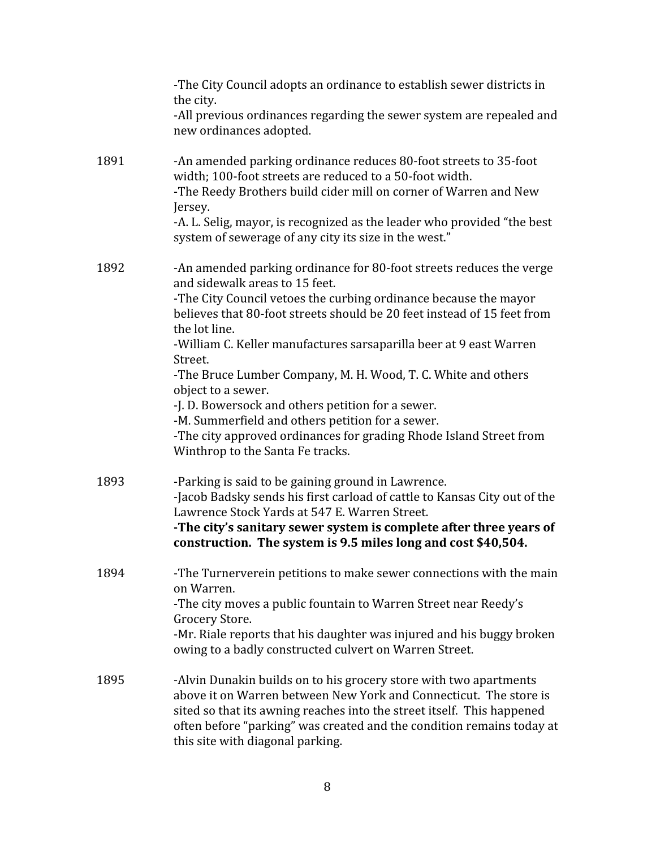|      | -The City Council adopts an ordinance to establish sewer districts in<br>the city.                                                                                                                                                                                                                                                             |
|------|------------------------------------------------------------------------------------------------------------------------------------------------------------------------------------------------------------------------------------------------------------------------------------------------------------------------------------------------|
|      | -All previous ordinances regarding the sewer system are repealed and<br>new ordinances adopted.                                                                                                                                                                                                                                                |
| 1891 | -An amended parking ordinance reduces 80-foot streets to 35-foot<br>width; 100-foot streets are reduced to a 50-foot width.<br>-The Reedy Brothers build cider mill on corner of Warren and New<br>Jersey.<br>-A. L. Selig, mayor, is recognized as the leader who provided "the best<br>system of sewerage of any city its size in the west." |
| 1892 | -An amended parking ordinance for 80-foot streets reduces the verge<br>and sidewalk areas to 15 feet.                                                                                                                                                                                                                                          |
|      | -The City Council vetoes the curbing ordinance because the mayor<br>believes that 80-foot streets should be 20 feet instead of 15 feet from<br>the lot line.                                                                                                                                                                                   |
|      | -William C. Keller manufactures sarsaparilla beer at 9 east Warren<br>Street.                                                                                                                                                                                                                                                                  |
|      | -The Bruce Lumber Company, M. H. Wood, T. C. White and others<br>object to a sewer.                                                                                                                                                                                                                                                            |
|      | -J. D. Bowersock and others petition for a sewer.                                                                                                                                                                                                                                                                                              |
|      | -M. Summerfield and others petition for a sewer.<br>-The city approved ordinances for grading Rhode Island Street from<br>Winthrop to the Santa Fe tracks.                                                                                                                                                                                     |
| 1893 | -Parking is said to be gaining ground in Lawrence.                                                                                                                                                                                                                                                                                             |
|      | -Jacob Badsky sends his first carload of cattle to Kansas City out of the<br>Lawrence Stock Yards at 547 E. Warren Street.                                                                                                                                                                                                                     |
|      | -The city's sanitary sewer system is complete after three years of<br>construction. The system is 9.5 miles long and cost \$40,504.                                                                                                                                                                                                            |
| 1894 | -The Turnerverein petitions to make sewer connections with the main<br>on Warren.                                                                                                                                                                                                                                                              |
|      | -The city moves a public fountain to Warren Street near Reedy's<br>Grocery Store.                                                                                                                                                                                                                                                              |
|      | -Mr. Riale reports that his daughter was injured and his buggy broken<br>owing to a badly constructed culvert on Warren Street.                                                                                                                                                                                                                |
| 1895 | -Alvin Dunakin builds on to his grocery store with two apartments<br>above it on Warren between New York and Connecticut. The store is<br>sited so that its awning reaches into the street itself. This happened<br>often before "parking" was created and the condition remains today at<br>this site with diagonal parking.                  |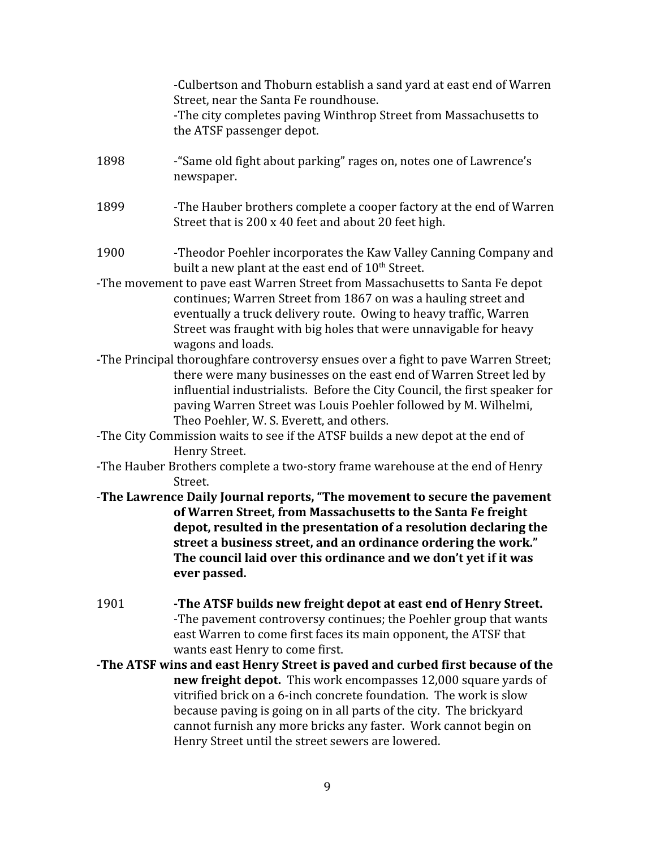|      | -Culbertson and Thoburn establish a sand yard at east end of Warren<br>Street, near the Santa Fe roundhouse.<br>-The city completes paving Winthrop Street from Massachusetts to<br>the ATSF passenger depot.                                                                                                                                                       |
|------|---------------------------------------------------------------------------------------------------------------------------------------------------------------------------------------------------------------------------------------------------------------------------------------------------------------------------------------------------------------------|
| 1898 | -"Same old fight about parking" rages on, notes one of Lawrence's<br>newspaper.                                                                                                                                                                                                                                                                                     |
| 1899 | -The Hauber brothers complete a cooper factory at the end of Warren<br>Street that is 200 x 40 feet and about 20 feet high.                                                                                                                                                                                                                                         |
| 1900 | -Theodor Poehler incorporates the Kaw Valley Canning Company and<br>built a new plant at the east end of 10 <sup>th</sup> Street.                                                                                                                                                                                                                                   |
|      | -The movement to pave east Warren Street from Massachusetts to Santa Fe depot<br>continues; Warren Street from 1867 on was a hauling street and<br>eventually a truck delivery route. Owing to heavy traffic, Warren<br>Street was fraught with big holes that were unnavigable for heavy<br>wagons and loads.                                                      |
|      | -The Principal thoroughfare controversy ensues over a fight to pave Warren Street;<br>there were many businesses on the east end of Warren Street led by<br>influential industrialists. Before the City Council, the first speaker for<br>paving Warren Street was Louis Poehler followed by M. Wilhelmi,<br>Theo Poehler, W. S. Everett, and others.               |
|      | -The City Commission waits to see if the ATSF builds a new depot at the end of                                                                                                                                                                                                                                                                                      |
|      | Henry Street.                                                                                                                                                                                                                                                                                                                                                       |
|      | -The Hauber Brothers complete a two-story frame warehouse at the end of Henry                                                                                                                                                                                                                                                                                       |
|      | Street.                                                                                                                                                                                                                                                                                                                                                             |
|      | -The Lawrence Daily Journal reports, "The movement to secure the pavement<br>of Warren Street, from Massachusetts to the Santa Fe freight<br>depot, resulted in the presentation of a resolution declaring the<br>street a business street, and an ordinance ordering the work."<br>The council laid over this ordinance and we don't yet if it was<br>ever passed. |
| 1901 | -The ATSF builds new freight depot at east end of Henry Street.<br>-The pavement controversy continues; the Poehler group that wants<br>east Warren to come first faces its main opponent, the ATSF that<br>wants east Henry to come first.                                                                                                                         |
|      | -The ATSF wins and east Henry Street is paved and curbed first because of the                                                                                                                                                                                                                                                                                       |
|      | new freight depot. This work encompasses 12,000 square yards of<br>vitrified brick on a 6-inch concrete foundation. The work is slow<br>because paving is going on in all parts of the city. The brickyard<br>cannot furnish any more bricks any faster. Work cannot begin on<br>Henry Street until the street sewers are lowered.                                  |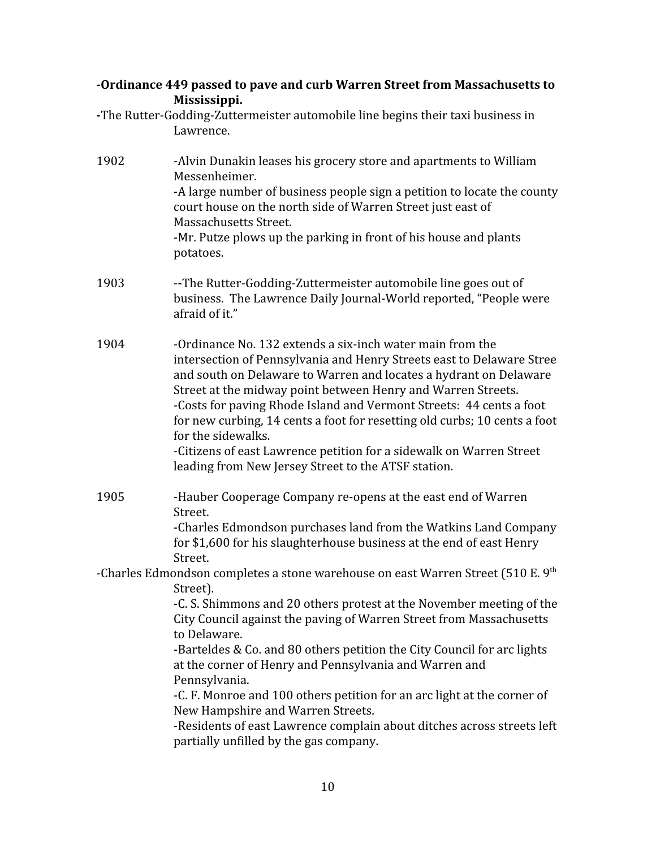| -Ordinance 449 passed to pave and curb Warren Street from Massachusetts to |  |
|----------------------------------------------------------------------------|--|
| Mississippi.                                                               |  |

**-**The Rutter-Godding-Zuttermeister automobile line begins their taxi business in Lawrence.

| 1902 | -Alvin Dunakin leases his grocery store and apartments to William<br>Messenheimer.<br>-A large number of business people sign a petition to locate the county<br>court house on the north side of Warren Street just east of<br>Massachusetts Street.<br>-Mr. Putze plows up the parking in front of his house and plants<br>potatoes.                                                                                                                                                                                                                                          |
|------|---------------------------------------------------------------------------------------------------------------------------------------------------------------------------------------------------------------------------------------------------------------------------------------------------------------------------------------------------------------------------------------------------------------------------------------------------------------------------------------------------------------------------------------------------------------------------------|
| 1903 | --The Rutter-Godding-Zuttermeister automobile line goes out of<br>business. The Lawrence Daily Journal-World reported, "People were<br>afraid of it."                                                                                                                                                                                                                                                                                                                                                                                                                           |
| 1904 | -Ordinance No. 132 extends a six-inch water main from the<br>intersection of Pennsylvania and Henry Streets east to Delaware Stree<br>and south on Delaware to Warren and locates a hydrant on Delaware<br>Street at the midway point between Henry and Warren Streets.<br>-Costs for paving Rhode Island and Vermont Streets: 44 cents a foot<br>for new curbing, 14 cents a foot for resetting old curbs; 10 cents a foot<br>for the sidewalks.<br>-Citizens of east Lawrence petition for a sidewalk on Warren Street<br>leading from New Jersey Street to the ATSF station. |
| 1905 | -Hauber Cooperage Company re-opens at the east end of Warren<br>Street.<br>-Charles Edmondson purchases land from the Watkins Land Company<br>for \$1,600 for his slaughterhouse business at the end of east Henry<br>Street.                                                                                                                                                                                                                                                                                                                                                   |
|      | -Charles Edmondson completes a stone warehouse on east Warren Street (510 E. 9th                                                                                                                                                                                                                                                                                                                                                                                                                                                                                                |
|      | Street).                                                                                                                                                                                                                                                                                                                                                                                                                                                                                                                                                                        |
|      | -C. S. Shimmons and 20 others protest at the November meeting of the<br>City Council against the paving of Warren Street from Massachusetts<br>to Delaware.                                                                                                                                                                                                                                                                                                                                                                                                                     |
|      | -Barteldes & Co. and 80 others petition the City Council for arc lights<br>at the corner of Henry and Pennsylvania and Warren and<br>Pennsylvania.                                                                                                                                                                                                                                                                                                                                                                                                                              |
|      | -C. F. Monroe and 100 others petition for an arc light at the corner of                                                                                                                                                                                                                                                                                                                                                                                                                                                                                                         |
|      | New Hampshire and Warren Streets.                                                                                                                                                                                                                                                                                                                                                                                                                                                                                                                                               |
|      | -Residents of east Lawrence complain about ditches across streets left<br>partially unfilled by the gas company.                                                                                                                                                                                                                                                                                                                                                                                                                                                                |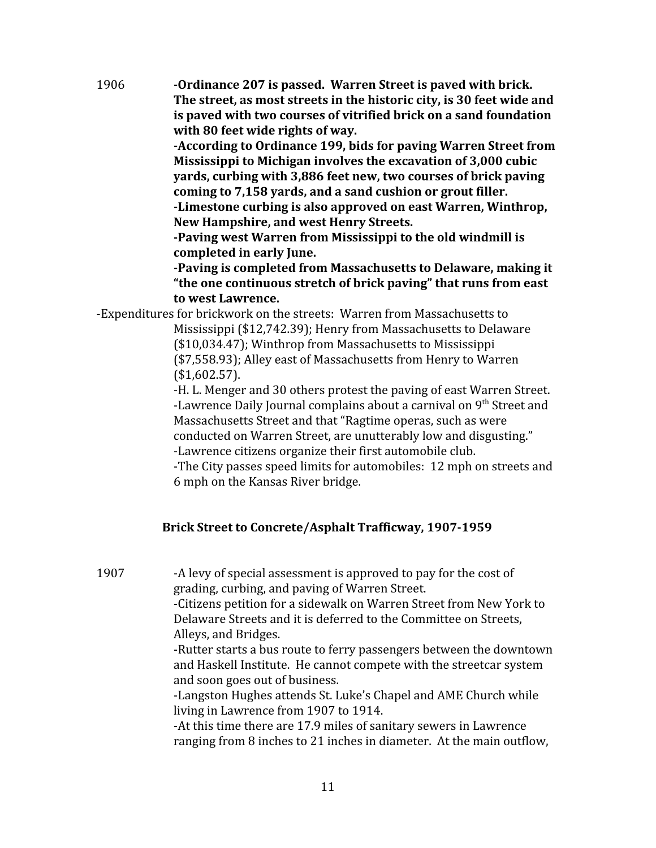1906 **-Ordinance 207 is passed. Warren Street is paved with brick. The street, as most streets in the historic city, is 30 feet wide and is paved with two courses of vitrified brick on a sand foundation with 80 feet wide rights of way.**

> **-According to Ordinance 199, bids for paving Warren Street from Mississippi to Michigan involves the excavation of 3,000 cubic yards, curbing with 3,886 feet new, two courses of brick paving coming to 7,158 yards, and a sand cushion or grout filler. -Limestone curbing is also approved on east Warren, Winthrop, New Hampshire, and west Henry Streets.**

**-Paving west Warren from Mississippi to the old windmill is completed in early June.**

**-Paving is completed from Massachusetts to Delaware, making it "the one continuous stretch of brick paving" that runs from east to west Lawrence.**

-Expenditures for brickwork on the streets: Warren from Massachusetts to

Mississippi (\$12,742.39); Henry from Massachusetts to Delaware (\$10,034.47); Winthrop from Massachusetts to Mississippi (\$7,558.93); Alley east of Massachusetts from Henry to Warren (\$1,602.57).

-H. L. Menger and 30 others protest the paving of east Warren Street. -Lawrence Daily Journal complains about a carnival on 9<sup>th</sup> Street and Massachusetts Street and that "Ragtime operas, such as were conducted on Warren Street, are unutterably low and disgusting." -Lawrence citizens organize their first automobile club.

-The City passes speed limits for automobiles: 12 mph on streets and 6 mph on the Kansas River bridge.

# **Brick Street to Concrete/Asphalt Trafficway, 1907-1959**

1907 -A levy of special assessment is approved to pay for the cost of grading, curbing, and paving of Warren Street.

-Citizens petition for a sidewalk on Warren Street from New York to Delaware Streets and it is deferred to the Committee on Streets, Alleys, and Bridges.

-Rutter starts a bus route to ferry passengers between the downtown and Haskell Institute. He cannot compete with the streetcar system and soon goes out of business.

-Langston Hughes attends St. Luke's Chapel and AME Church while living in Lawrence from 1907 to 1914.

-At this time there are 17.9 miles of sanitary sewers in Lawrence ranging from 8 inches to 21 inches in diameter. At the main outflow,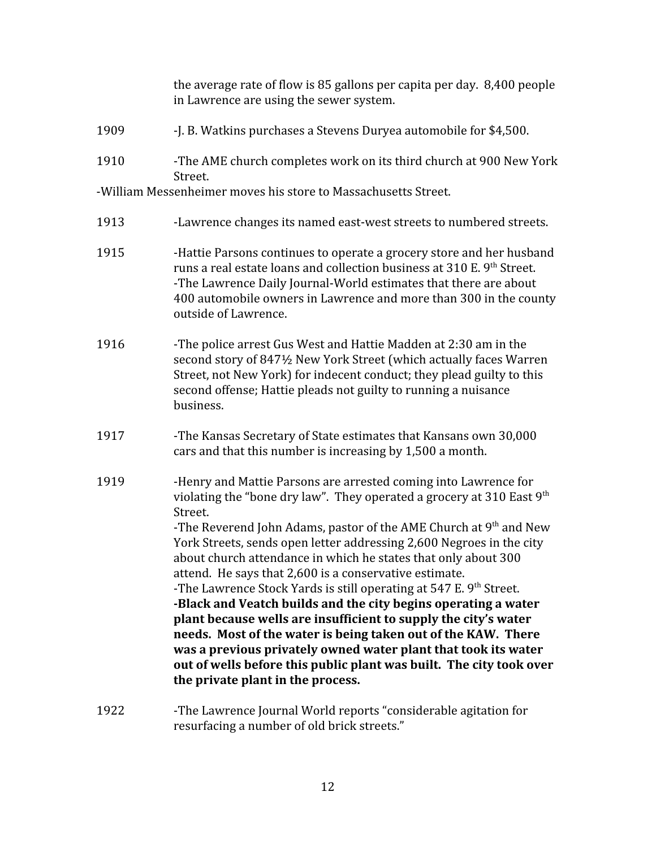|      | the average rate of flow is 85 gallons per capita per day. 8,400 people<br>in Lawrence are using the sewer system.                                                                                                                                                                                                                                                                                                                                                                                                                                                                                                                                                                                                                |
|------|-----------------------------------------------------------------------------------------------------------------------------------------------------------------------------------------------------------------------------------------------------------------------------------------------------------------------------------------------------------------------------------------------------------------------------------------------------------------------------------------------------------------------------------------------------------------------------------------------------------------------------------------------------------------------------------------------------------------------------------|
| 1909 | -J. B. Watkins purchases a Stevens Duryea automobile for \$4,500.                                                                                                                                                                                                                                                                                                                                                                                                                                                                                                                                                                                                                                                                 |
| 1910 | -The AME church completes work on its third church at 900 New York<br>Street.                                                                                                                                                                                                                                                                                                                                                                                                                                                                                                                                                                                                                                                     |
|      | -William Messenheimer moves his store to Massachusetts Street.                                                                                                                                                                                                                                                                                                                                                                                                                                                                                                                                                                                                                                                                    |
| 1913 | -Lawrence changes its named east-west streets to numbered streets.                                                                                                                                                                                                                                                                                                                                                                                                                                                                                                                                                                                                                                                                |
| 1915 | -Hattie Parsons continues to operate a grocery store and her husband<br>runs a real estate loans and collection business at 310 E. 9th Street.<br>-The Lawrence Daily Journal-World estimates that there are about<br>400 automobile owners in Lawrence and more than 300 in the county<br>outside of Lawrence.                                                                                                                                                                                                                                                                                                                                                                                                                   |
| 1916 | -The police arrest Gus West and Hattie Madden at 2:30 am in the<br>second story of 8471/2 New York Street (which actually faces Warren<br>Street, not New York) for indecent conduct; they plead guilty to this<br>second offense; Hattie pleads not guilty to running a nuisance<br>business.                                                                                                                                                                                                                                                                                                                                                                                                                                    |
| 1917 | -The Kansas Secretary of State estimates that Kansans own 30,000<br>cars and that this number is increasing by 1,500 a month.                                                                                                                                                                                                                                                                                                                                                                                                                                                                                                                                                                                                     |
| 1919 | -Henry and Mattie Parsons are arrested coming into Lawrence for<br>violating the "bone dry law". They operated a grocery at 310 East $9th$<br>Street.                                                                                                                                                                                                                                                                                                                                                                                                                                                                                                                                                                             |
|      | -The Reverend John Adams, pastor of the AME Church at $9th$ and New<br>York Streets, sends open letter addressing 2,600 Negroes in the city<br>about church attendance in which he states that only about 300<br>attend. He says that 2,600 is a conservative estimate.<br>-The Lawrence Stock Yards is still operating at 547 E. 9th Street.<br>-Black and Veatch builds and the city begins operating a water<br>plant because wells are insufficient to supply the city's water<br>needs. Most of the water is being taken out of the KAW. There<br>was a previous privately owned water plant that took its water<br>out of wells before this public plant was built. The city took over<br>the private plant in the process. |
| 1922 | -The Lawrence Journal World reports "considerable agitation for<br>resurfacing a number of old brick streets."                                                                                                                                                                                                                                                                                                                                                                                                                                                                                                                                                                                                                    |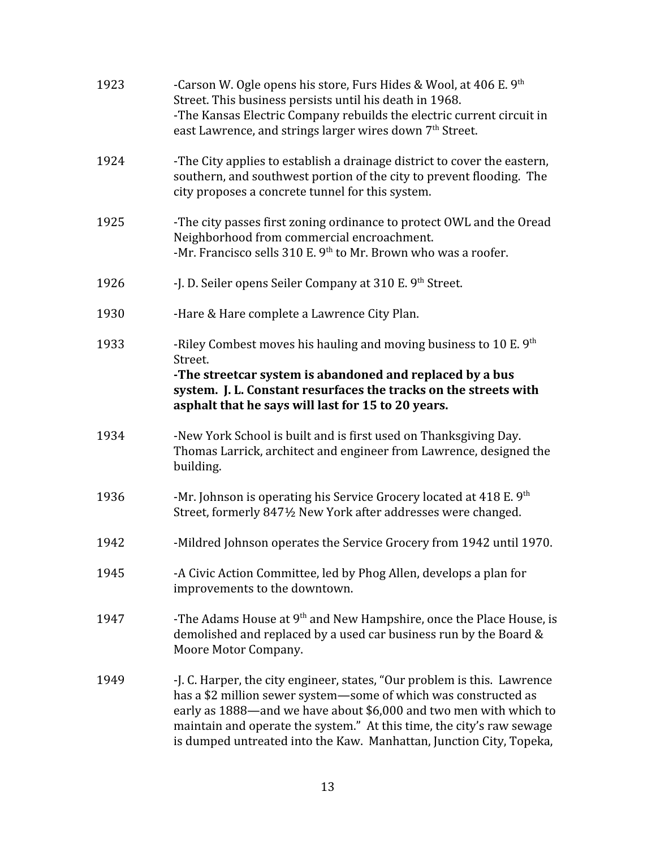| 1923 | -Carson W. Ogle opens his store, Furs Hides & Wool, at 406 E. $9th$<br>Street. This business persists until his death in 1968.<br>-The Kansas Electric Company rebuilds the electric current circuit in<br>east Lawrence, and strings larger wires down 7 <sup>th</sup> Street.                                                                                  |
|------|------------------------------------------------------------------------------------------------------------------------------------------------------------------------------------------------------------------------------------------------------------------------------------------------------------------------------------------------------------------|
| 1924 | -The City applies to establish a drainage district to cover the eastern,<br>southern, and southwest portion of the city to prevent flooding. The<br>city proposes a concrete tunnel for this system.                                                                                                                                                             |
| 1925 | -The city passes first zoning ordinance to protect OWL and the Oread<br>Neighborhood from commercial encroachment.<br>-Mr. Francisco sells 310 E. 9 <sup>th</sup> to Mr. Brown who was a roofer.                                                                                                                                                                 |
| 1926 | -J. D. Seiler opens Seiler Company at 310 E. 9 <sup>th</sup> Street.                                                                                                                                                                                                                                                                                             |
| 1930 | -Hare & Hare complete a Lawrence City Plan.                                                                                                                                                                                                                                                                                                                      |
| 1933 | -Riley Combest moves his hauling and moving business to 10 E. 9th<br>Street.<br>-The streetcar system is abandoned and replaced by a bus<br>system. J. L. Constant resurfaces the tracks on the streets with<br>asphalt that he says will last for 15 to 20 years.                                                                                               |
| 1934 | -New York School is built and is first used on Thanksgiving Day.<br>Thomas Larrick, architect and engineer from Lawrence, designed the<br>building.                                                                                                                                                                                                              |
| 1936 | -Mr. Johnson is operating his Service Grocery located at 418 E. $9th$<br>Street, formerly 847½ New York after addresses were changed.                                                                                                                                                                                                                            |
| 1942 | -Mildred Johnson operates the Service Grocery from 1942 until 1970.                                                                                                                                                                                                                                                                                              |
| 1945 | -A Civic Action Committee, led by Phog Allen, develops a plan for<br>improvements to the downtown.                                                                                                                                                                                                                                                               |
| 1947 | -The Adams House at 9 <sup>th</sup> and New Hampshire, once the Place House, is<br>demolished and replaced by a used car business run by the Board &<br>Moore Motor Company.                                                                                                                                                                                     |
| 1949 | -J. C. Harper, the city engineer, states, "Our problem is this. Lawrence<br>has a \$2 million sewer system-some of which was constructed as<br>early as 1888—and we have about \$6,000 and two men with which to<br>maintain and operate the system." At this time, the city's raw sewage<br>is dumped untreated into the Kaw. Manhattan, Junction City, Topeka, |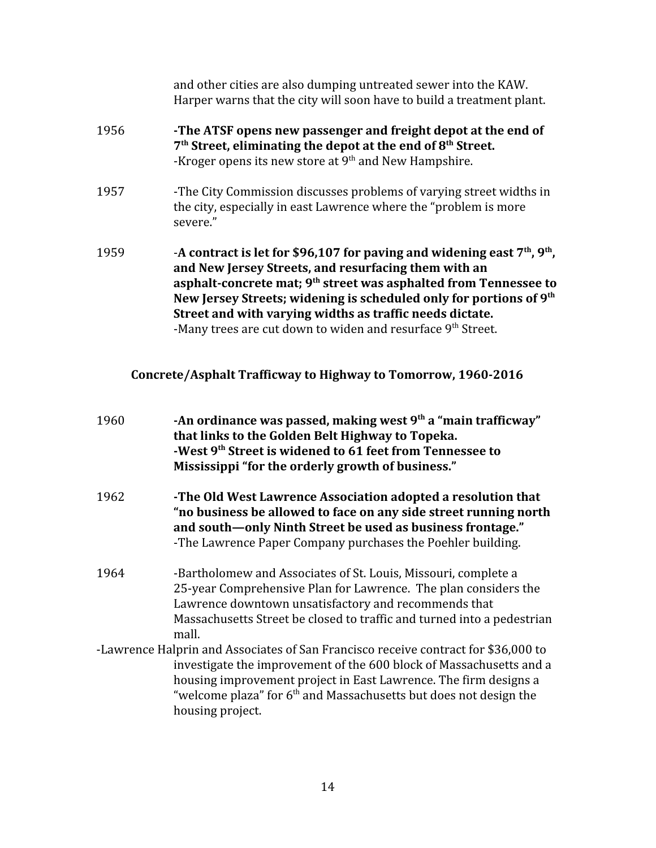|      | and other cities are also dumping untreated sewer into the KAW.<br>Harper warns that the city will soon have to build a treatment plant.                                                                                                                                                                                                                                                                                                      |
|------|-----------------------------------------------------------------------------------------------------------------------------------------------------------------------------------------------------------------------------------------------------------------------------------------------------------------------------------------------------------------------------------------------------------------------------------------------|
| 1956 | -The ATSF opens new passenger and freight depot at the end of<br>7 <sup>th</sup> Street, eliminating the depot at the end of 8 <sup>th</sup> Street.<br>-Kroger opens its new store at 9 <sup>th</sup> and New Hampshire.                                                                                                                                                                                                                     |
| 1957 | -The City Commission discusses problems of varying street widths in<br>the city, especially in east Lawrence where the "problem is more<br>severe."                                                                                                                                                                                                                                                                                           |
| 1959 | -A contract is let for \$96,107 for paving and widening east $7th$ , $9th$ ,<br>and New Jersey Streets, and resurfacing them with an<br>asphalt-concrete mat; 9 <sup>th</sup> street was asphalted from Tennessee to<br>New Jersey Streets; widening is scheduled only for portions of 9 <sup>th</sup><br>Street and with varying widths as traffic needs dictate.<br>-Many trees are cut down to widen and resurface 9 <sup>th</sup> Street. |
|      | Concrete/Asphalt Trafficway to Highway to Tomorrow, 1960-2016                                                                                                                                                                                                                                                                                                                                                                                 |

| 1960 | -An ordinance was passed, making west $9th$ a "main trafficway"<br>that links to the Golden Belt Highway to Topeka.<br>-West 9 <sup>th</sup> Street is widened to 61 feet from Tennessee to<br>Mississippi "for the orderly growth of business."                                                                         |
|------|--------------------------------------------------------------------------------------------------------------------------------------------------------------------------------------------------------------------------------------------------------------------------------------------------------------------------|
| 1962 | -The Old West Lawrence Association adopted a resolution that<br>"no business be allowed to face on any side street running north<br>and south—only Ninth Street be used as business frontage."<br>-The Lawrence Paper Company purchases the Poehler building.                                                            |
| 1964 | -Bartholomew and Associates of St. Louis, Missouri, complete a<br>25-year Comprehensive Plan for Lawrence. The plan considers the<br>Lawrence downtown unsatisfactory and recommends that<br>Massachusetts Street be closed to traffic and turned into a pedestrian<br>mall.                                             |
|      | -Lawrence Halprin and Associates of San Francisco receive contract for \$36,000 to<br>investigate the improvement of the 600 block of Massachusetts and a<br>housing improvement project in East Lawrence. The firm designs a<br>"welcome plaza" for $6th$ and Massachusetts but does not design the<br>housing project. |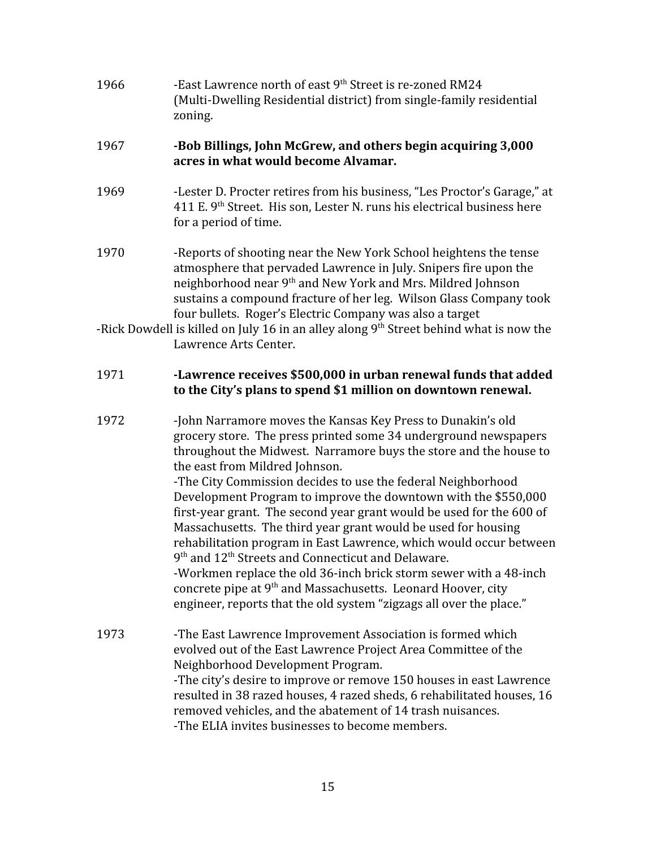| 1966 | -East Lawrence north of east 9 <sup>th</sup> Street is re-zoned RM24<br>(Multi-Dwelling Residential district) from single-family residential<br>zoning.                                                                                                                                                                                            |
|------|----------------------------------------------------------------------------------------------------------------------------------------------------------------------------------------------------------------------------------------------------------------------------------------------------------------------------------------------------|
| 1967 | -Bob Billings, John McGrew, and others begin acquiring 3,000<br>acres in what would become Alvamar.                                                                                                                                                                                                                                                |
| 1969 | -Lester D. Procter retires from his business, "Les Proctor's Garage," at<br>411 E. 9 <sup>th</sup> Street. His son, Lester N. runs his electrical business here<br>for a period of time.                                                                                                                                                           |
| 1970 | -Reports of shooting near the New York School heightens the tense<br>atmosphere that pervaded Lawrence in July. Snipers fire upon the<br>neighborhood near 9 <sup>th</sup> and New York and Mrs. Mildred Johnson<br>sustains a compound fracture of her leg. Wilson Glass Company took<br>four bullets. Roger's Electric Company was also a target |
|      | -Rick Dowdell is killed on July 16 in an alley along $9th$ Street behind what is now the<br>Lawrence Arts Center.                                                                                                                                                                                                                                  |
|      |                                                                                                                                                                                                                                                                                                                                                    |

#### 1971 **-Lawrence receives \$500,000 in urban renewal funds that added to the City's plans to spend \$1 million on downtown renewal.**

1972 -John Narramore moves the Kansas Key Press to Dunakin's old grocery store. The press printed some 34 underground newspapers throughout the Midwest. Narramore buys the store and the house to the east from Mildred Johnson. -The City Commission decides to use the federal Neighborhood Development Program to improve the downtown with the \$550,000 first-year grant. The second year grant would be used for the 600 of Massachusetts. The third year grant would be used for housing rehabilitation program in East Lawrence, which would occur between 9<sup>th</sup> and 12<sup>th</sup> Streets and Connecticut and Delaware. -Workmen replace the old 36-inch brick storm sewer with a 48-inch concrete pipe at 9<sup>th</sup> and Massachusetts. Leonard Hoover, city engineer, reports that the old system "zigzags all over the place." 1973 -The East Lawrence Improvement Association is formed which

evolved out of the East Lawrence Project Area Committee of the Neighborhood Development Program. -The city's desire to improve or remove 150 houses in east Lawrence resulted in 38 razed houses, 4 razed sheds, 6 rehabilitated houses, 16 removed vehicles, and the abatement of 14 trash nuisances. -The ELIA invites businesses to become members.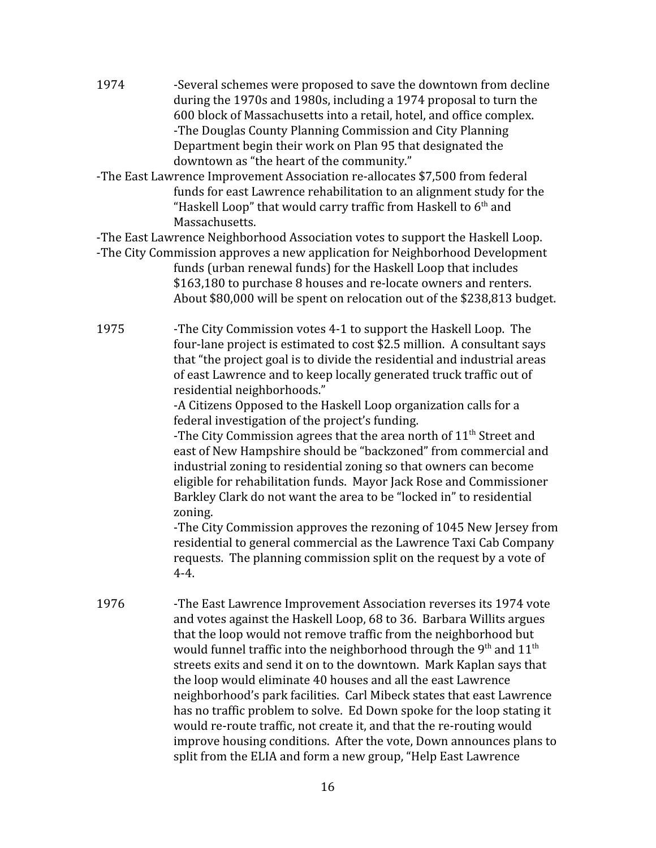- 1974 -Several schemes were proposed to save the downtown from decline during the 1970s and 1980s, including a 1974 proposal to turn the 600 block of Massachusetts into a retail, hotel, and office complex. -The Douglas County Planning Commission and City Planning Department begin their work on Plan 95 that designated the downtown as "the heart of the community."
- -The East Lawrence Improvement Association re-allocates \$7,500 from federal funds for east Lawrence rehabilitation to an alignment study for the "Haskell Loop" that would carry traffic from Haskell to 6<sup>th</sup> and Massachusetts.

-The East Lawrence Neighborhood Association votes to support the Haskell Loop.

- -The City Commission approves a new application for Neighborhood Development funds (urban renewal funds) for the Haskell Loop that includes \$163,180 to purchase 8 houses and re-locate owners and renters. About \$80,000 will be spent on relocation out of the \$238,813 budget.
- 1975 -The City Commission votes 4-1 to support the Haskell Loop. The four-lane project is estimated to cost \$2.5 million. A consultant says that "the project goal is to divide the residential and industrial areas of east Lawrence and to keep locally generated truck traffic out of residential neighborhoods."

-A Citizens Opposed to the Haskell Loop organization calls for a federal investigation of the project's funding.

-The City Commission agrees that the area north of  $11<sup>th</sup>$  Street and east of New Hampshire should be "backzoned" from commercial and industrial zoning to residential zoning so that owners can become eligible for rehabilitation funds. Mayor Jack Rose and Commissioner Barkley Clark do not want the area to be "locked in" to residential zoning.

-The City Commission approves the rezoning of 1045 New Jersey from residential to general commercial as the Lawrence Taxi Cab Company requests. The planning commission split on the request by a vote of 4-4.

1976 -The East Lawrence Improvement Association reverses its 1974 vote and votes against the Haskell Loop, 68 to 36. Barbara Willits argues that the loop would not remove traffic from the neighborhood but would funnel traffic into the neighborhood through the  $9^{\rm th}$  and  $11^{\rm th}$ streets exits and send it on to the downtown. Mark Kaplan says that the loop would eliminate 40 houses and all the east Lawrence neighborhood's park facilities. Carl Mibeck states that east Lawrence has no traffic problem to solve. Ed Down spoke for the loop stating it would re-route traffic, not create it, and that the re-routing would improve housing conditions. After the vote, Down announces plans to split from the ELIA and form a new group, "Help East Lawrence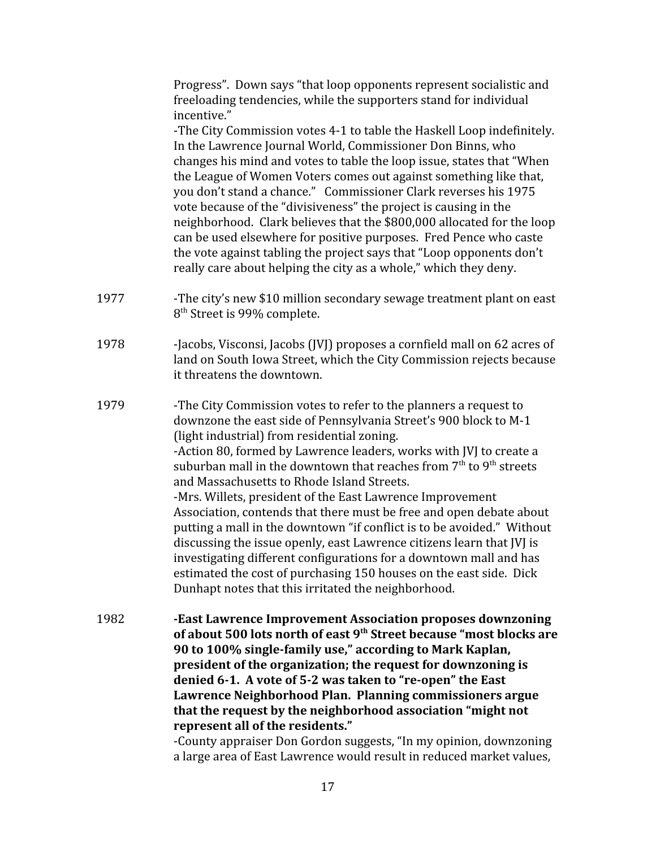Progress". Down says "that loop opponents represent socialistic and freeloading tendencies, while the supporters stand for individual incentive."

-The City Commission votes 4-1 to table the Haskell Loop indefinitely. In the Lawrence Journal World, Commissioner Don Binns, who changes his mind and votes to table the loop issue, states that "When the League of Women Voters comes out against something like that, you don't stand a chance." Commissioner Clark reverses his 1975 vote because of the "divisiveness" the project is causing in the neighborhood. Clark believes that the \$800,000 allocated for the loop can be used elsewhere for positive purposes. Fred Pence who caste the vote against tabling the project says that "Loop opponents don't really care about helping the city as a whole," which they deny.

- 1977 -The city's new \$10 million secondary sewage treatment plant on east 8 th Street is 99% complete.
- 1978 -Jacobs, Visconsi, Jacobs (JVJ) proposes a cornfield mall on 62 acres of land on South Iowa Street, which the City Commission rejects because it threatens the downtown.
- 1979 -The City Commission votes to refer to the planners a request to downzone the east side of Pennsylvania Street's 900 block to M-1 (light industrial) from residential zoning. -Action 80, formed by Lawrence leaders, works with JVJ to create a suburban mall in the downtown that reaches from  $7^{\rm th}$  to  $9^{\rm th}$  streets and Massachusetts to Rhode Island Streets. -Mrs. Willets, president of the East Lawrence Improvement Association, contends that there must be free and open debate about putting a mall in the downtown "if conflict is to be avoided." Without discussing the issue openly, east Lawrence citizens learn that JVJ is investigating different configurations for a downtown mall and has estimated the cost of purchasing 150 houses on the east side. Dick Dunhapt notes that this irritated the neighborhood.
- 1982 **-East Lawrence Improvement Association proposes downzoning of about 500 lots north of east 9th Street because "most blocks are 90 to 100% single-family use," according to Mark Kaplan, president of the organization; the request for downzoning is denied 6-1. A vote of 5-2 was taken to "re-open" the East Lawrence Neighborhood Plan. Planning commissioners argue that the request by the neighborhood association "might not represent all of the residents."**

-County appraiser Don Gordon suggests, "In my opinion, downzoning a large area of East Lawrence would result in reduced market values,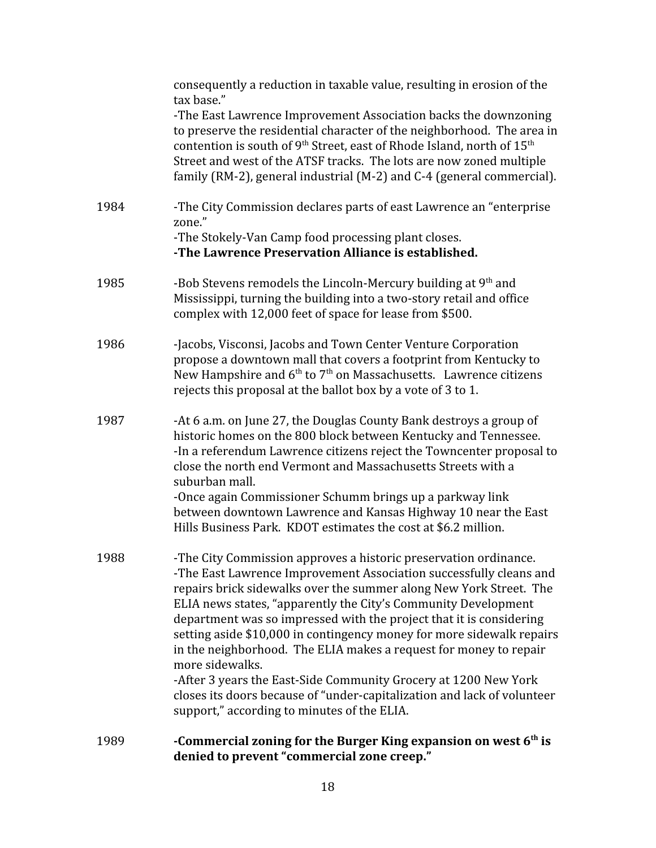| 1989 | -Commercial zoning for the Burger King expansion on west 6 <sup>th</sup> is<br>denied to prevent "commercial zone creep."                                                                                                                                                                                                                                                                                                                                                                                                                                                                                                                                                                                           |
|------|---------------------------------------------------------------------------------------------------------------------------------------------------------------------------------------------------------------------------------------------------------------------------------------------------------------------------------------------------------------------------------------------------------------------------------------------------------------------------------------------------------------------------------------------------------------------------------------------------------------------------------------------------------------------------------------------------------------------|
| 1988 | -The City Commission approves a historic preservation ordinance.<br>-The East Lawrence Improvement Association successfully cleans and<br>repairs brick sidewalks over the summer along New York Street. The<br>ELIA news states, "apparently the City's Community Development<br>department was so impressed with the project that it is considering<br>setting aside \$10,000 in contingency money for more sidewalk repairs<br>in the neighborhood. The ELIA makes a request for money to repair<br>more sidewalks.<br>-After 3 years the East-Side Community Grocery at 1200 New York<br>closes its doors because of "under-capitalization and lack of volunteer<br>support," according to minutes of the ELIA. |
| 1987 | -At 6 a.m. on June 27, the Douglas County Bank destroys a group of<br>historic homes on the 800 block between Kentucky and Tennessee.<br>-In a referendum Lawrence citizens reject the Towncenter proposal to<br>close the north end Vermont and Massachusetts Streets with a<br>suburban mall.<br>-Once again Commissioner Schumm brings up a parkway link<br>between downtown Lawrence and Kansas Highway 10 near the East<br>Hills Business Park. KDOT estimates the cost at \$6.2 million.                                                                                                                                                                                                                      |
| 1986 | -Jacobs, Visconsi, Jacobs and Town Center Venture Corporation<br>propose a downtown mall that covers a footprint from Kentucky to<br>New Hampshire and $6th$ to $7th$ on Massachusetts. Lawrence citizens<br>rejects this proposal at the ballot box by a vote of 3 to 1.                                                                                                                                                                                                                                                                                                                                                                                                                                           |
| 1985 | -Bob Stevens remodels the Lincoln-Mercury building at 9 <sup>th</sup> and<br>Mississippi, turning the building into a two-story retail and office<br>complex with 12,000 feet of space for lease from \$500.                                                                                                                                                                                                                                                                                                                                                                                                                                                                                                        |
| 1984 | -The City Commission declares parts of east Lawrence an "enterprise"<br>zone."<br>-The Stokely-Van Camp food processing plant closes.<br>-The Lawrence Preservation Alliance is established.                                                                                                                                                                                                                                                                                                                                                                                                                                                                                                                        |
|      | consequently a reduction in taxable value, resulting in erosion of the<br>tax base."<br>-The East Lawrence Improvement Association backs the downzoning<br>to preserve the residential character of the neighborhood. The area in<br>contention is south of 9 <sup>th</sup> Street, east of Rhode Island, north of 15 <sup>th</sup><br>Street and west of the ATSF tracks. The lots are now zoned multiple<br>family (RM-2), general industrial (M-2) and C-4 (general commercial).                                                                                                                                                                                                                                 |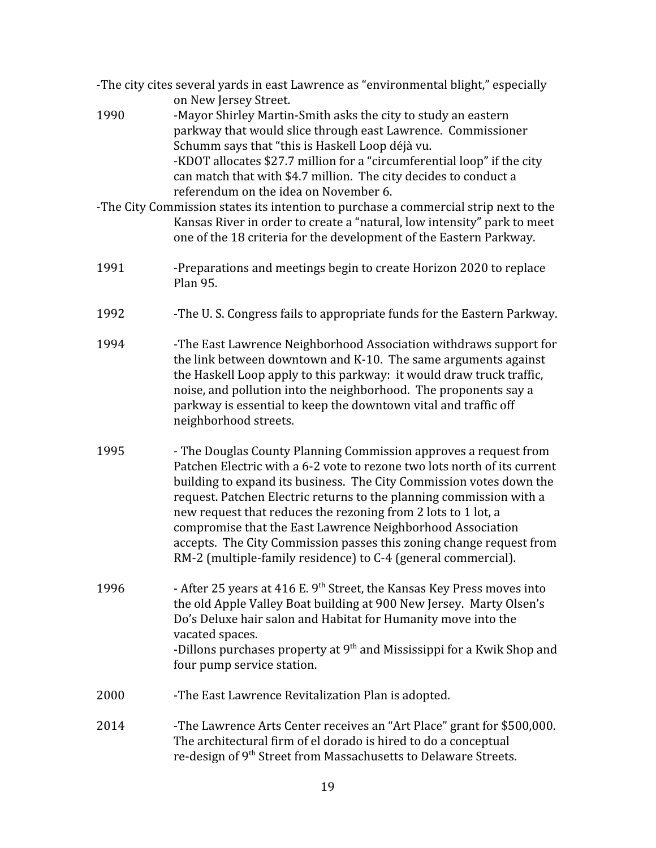|      | -The city cites several yards in east Lawrence as "environmental blight," especially<br>on New Jersey Street.                                                                                                                                                                                                                                                                                                                                                                                                                                                    |
|------|------------------------------------------------------------------------------------------------------------------------------------------------------------------------------------------------------------------------------------------------------------------------------------------------------------------------------------------------------------------------------------------------------------------------------------------------------------------------------------------------------------------------------------------------------------------|
| 1990 | -Mayor Shirley Martin-Smith asks the city to study an eastern<br>parkway that would slice through east Lawrence. Commissioner<br>Schumm says that "this is Haskell Loop déjà vu.<br>-KDOT allocates \$27.7 million for a "circumferential loop" if the city<br>can match that with \$4.7 million. The city decides to conduct a<br>referendum on the idea on November 6.                                                                                                                                                                                         |
|      | -The City Commission states its intention to purchase a commercial strip next to the<br>Kansas River in order to create a "natural, low intensity" park to meet<br>one of the 18 criteria for the development of the Eastern Parkway.                                                                                                                                                                                                                                                                                                                            |
| 1991 | -Preparations and meetings begin to create Horizon 2020 to replace<br>Plan 95.                                                                                                                                                                                                                                                                                                                                                                                                                                                                                   |
| 1992 | -The U.S. Congress fails to appropriate funds for the Eastern Parkway.                                                                                                                                                                                                                                                                                                                                                                                                                                                                                           |
| 1994 | -The East Lawrence Neighborhood Association withdraws support for<br>the link between downtown and K-10. The same arguments against<br>the Haskell Loop apply to this parkway: it would draw truck traffic,<br>noise, and pollution into the neighborhood. The proponents say a<br>parkway is essential to keep the downtown vital and traffic off<br>neighborhood streets.                                                                                                                                                                                      |
| 1995 | - The Douglas County Planning Commission approves a request from<br>Patchen Electric with a 6-2 vote to rezone two lots north of its current<br>building to expand its business. The City Commission votes down the<br>request. Patchen Electric returns to the planning commission with a<br>new request that reduces the rezoning from 2 lots to 1 lot, a<br>compromise that the East Lawrence Neighborhood Association<br>accepts. The City Commission passes this zoning change request from<br>RM-2 (multiple-family residence) to C-4 (general commercial) |
| 1996 | - After 25 years at 416 E. $9th$ Street, the Kansas Key Press moves into<br>the old Apple Valley Boat building at 900 New Jersey. Marty Olsen's<br>Do's Deluxe hair salon and Habitat for Humanity move into the<br>vacated spaces.<br>-Dillons purchases property at 9 <sup>th</sup> and Mississippi for a Kwik Shop and<br>four pump service station.                                                                                                                                                                                                          |
| 2000 | -The East Lawrence Revitalization Plan is adopted.                                                                                                                                                                                                                                                                                                                                                                                                                                                                                                               |
| 2014 | -The Lawrence Arts Center receives an "Art Place" grant for \$500,000.<br>The architectural firm of el dorado is hired to do a conceptual<br>re-design of 9 <sup>th</sup> Street from Massachusetts to Delaware Streets.                                                                                                                                                                                                                                                                                                                                         |